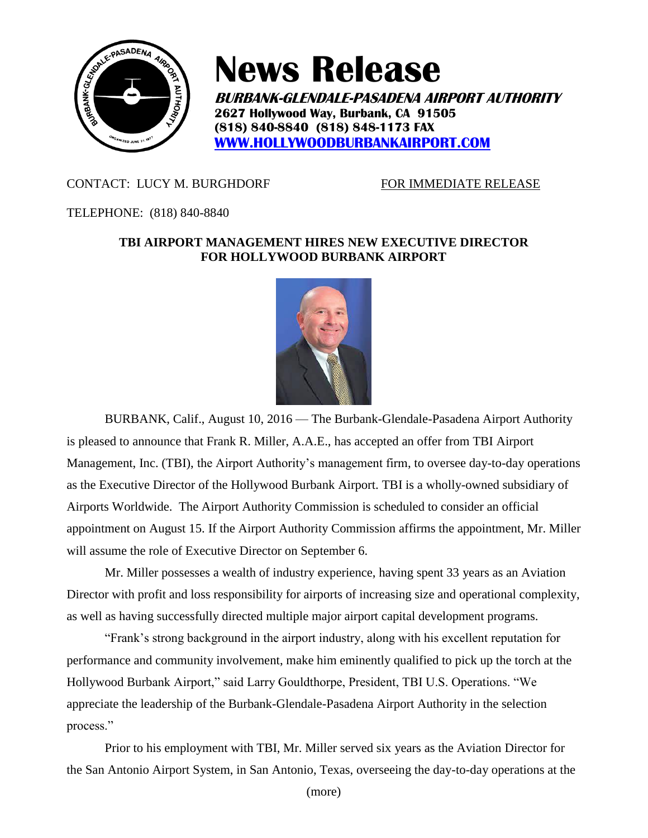

# **News Release**

**BURBANK-GLENDALE-PASADENA AIRPORT AUTHORITY 2627 Hollywood Way, Burbank, CA 91505 (818) 840-8840 (818) 848-1173 FAX [WWW.HOLLYWOODBURBANKAIRPORT.COM](http://www.hollywoodburbankairport.com/)**

## CONTACT: LUCY M. BURGHDORF FOR IMMEDIATE RELEASE

### TELEPHONE: (818) 840-8840

### **TBI AIRPORT MANAGEMENT HIRES NEW EXECUTIVE DIRECTOR FOR HOLLYWOOD BURBANK AIRPORT**



BURBANK, Calif., August 10, 2016 — The Burbank-Glendale-Pasadena Airport Authority is pleased to announce that Frank R. Miller, A.A.E., has accepted an offer from TBI Airport Management, Inc. (TBI), the Airport Authority's management firm, to oversee day-to-day operations as the Executive Director of the Hollywood Burbank Airport. TBI is a wholly-owned subsidiary of Airports Worldwide. The Airport Authority Commission is scheduled to consider an official appointment on August 15. If the Airport Authority Commission affirms the appointment, Mr. Miller will assume the role of Executive Director on September 6.

Mr. Miller possesses a wealth of industry experience, having spent 33 years as an Aviation Director with profit and loss responsibility for airports of increasing size and operational complexity, as well as having successfully directed multiple major airport capital development programs.

"Frank's strong background in the airport industry, along with his excellent reputation for performance and community involvement, make him eminently qualified to pick up the torch at the Hollywood Burbank Airport," said Larry Gouldthorpe, President, TBI U.S. Operations. "We appreciate the leadership of the Burbank-Glendale-Pasadena Airport Authority in the selection process."

Prior to his employment with TBI, Mr. Miller served six years as the Aviation Director for the San Antonio Airport System, in San Antonio, Texas, overseeing the day-to-day operations at the